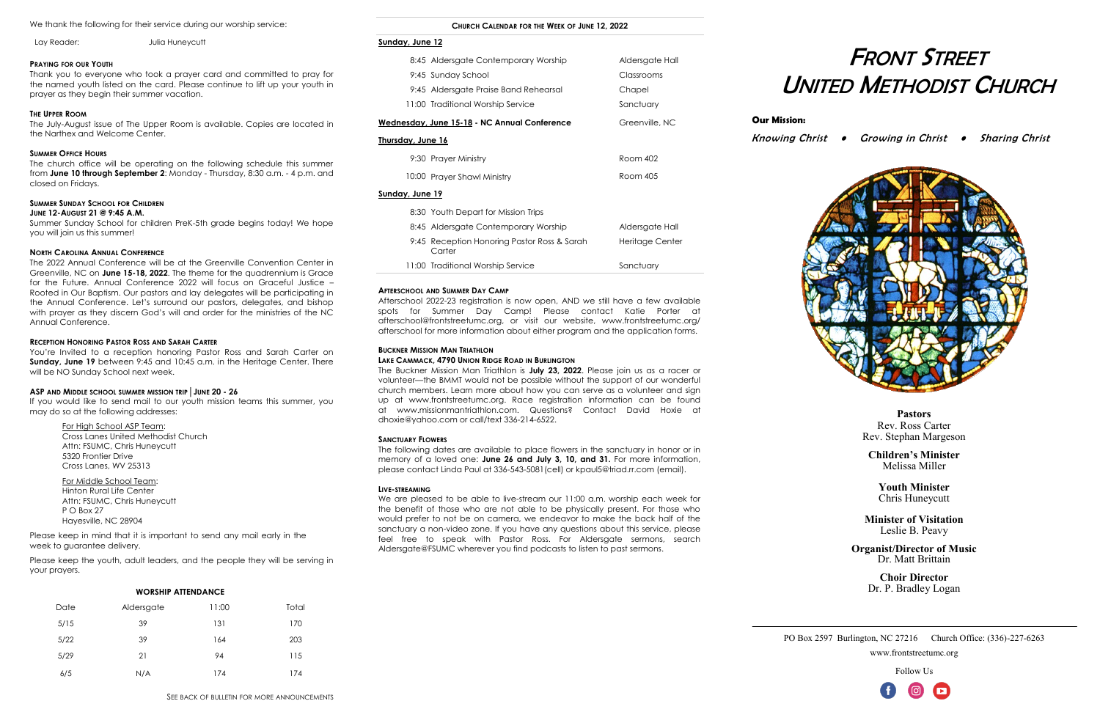# FRONT STREET UNITED METHODIST CHURCH

Knowing Christ • Growing in Christ • Sharing Christ

## **Our Mission:**



#### We thank the following for their service during our worship service:

#### **PRAYING FOR OUR YOUTH**

Thank you to everyone who took a prayer card and committed to pray for the named youth listed on the card. Please continue to lift up your youth in prayer as they begin their summer vacation.

#### **THE UPPER ROOM**

The July-August issue of The Upper Room is available. Copies are located in the Narthex and Welcome Center.

#### **SUMMER OFFICE HOURS**

The church office will be operating on the following schedule this summer from **June 10 through September 2**: Monday - Thursday, 8:30 a.m. - 4 p.m. and closed on Fridays.

#### **SUMMER SUNDAY SCHOOL FOR CHILDREN**

#### **JUNE 12-AUGUST 21 @ 9:45 A.M.**

Summer Sunday School for children PreK-5th grade begins today! We hope you will join us this summer!

#### **NORTH CAROLINA ANNUAL CONFERENCE**

If you would like to send mail to our youth mission teams this summer, you may do so at the following addresses:

Please keep in mind that it is important to send any mail early in the week to guarantee delivery.

The 2022 Annual Conference will be at the Greenville Convention Center in Greenville, NC on **June 15-18, 2022**. The theme for the quadrennium is Grace for the Future. Annual Conference 2022 will focus on Graceful Justice – Rooted in Our Baptism. Our pastors and lay delegates will be participating in the Annual Conference. Let's surround our pastors, delegates, and bishop with prayer as they discern God's will and order for the ministries of the NC Annual Conference.

#### **RECEPTION HONORING PASTOR ROSS AND SARAH CARTER**

You're Invited to a reception honoring Pastor Ross and Sarah Carter on **Sunday, June 19** between 9:45 and 10:45 a.m. in the Heritage Center. There will be NO Sunday School next week.

#### **ASP AND MIDDLE SCHOOL SUMMER MISSION TRIP**│**JUNE 20 - 26**

For High School ASP Team: Cross Lanes United Methodist Church Attn: FSUMC, Chris Huneycutt 5320 Frontier Drive Cross Lanes, WV 25313

For Middle School Team: Hinton Rural Life Center Attn: FSUMC, Chris Huneycutt P O Box 27 Hayesville, NC 28904

Please keep the youth, adult leaders, and the people they will be serving in your prayers.

**Pastors** Rev. Ross Carter Rev. Stephan Margeson

**Children's Minister** Melissa Miller

**Youth Minister** Chris Huneycutt

**Minister of Visitation** Leslie B. Peavy

**Organist/Director of Music** Dr. Matt Brittain

> **Choir Director** Dr. P. Bradley Logan

#### **CHURCH CALENDAR FOR THE WEEK OF JUNE 12, 2022**

#### **Sunday, June 12**

|                   | 8:45 Aldersgate Contemporary Worship                  | Aldersgate Hall |  |
|-------------------|-------------------------------------------------------|-----------------|--|
|                   | 9:45 Sunday School                                    | Classrooms      |  |
|                   | 9:45 Aldersgate Praise Band Rehearsal                 | Chapel          |  |
|                   | 11:00 Traditional Worship Service                     | Sanctuary       |  |
|                   | Wednesday, June 15-18 - NC Annual Conference          | Greenville, NC  |  |
| Thursday, June 16 |                                                       |                 |  |
|                   | 9:30 Prayer Ministry                                  | Room 402        |  |
|                   | 10:00 Prayer Shawl Ministry                           | Room 405        |  |
| Sunday, June 19   |                                                       |                 |  |
|                   | 8:30 Youth Depart for Mission Trips                   |                 |  |
|                   | 8:45 Aldersgate Contemporary Worship                  | Aldersgate Hall |  |
|                   | 9:45 Reception Honoring Pastor Ross & Sarah<br>Carter | Heritage Center |  |

PO Box 2597 Burlington, NC 27216 Church Office: (336)-227-6263 www.frontstreetumc.org

Follow Us



Lay Reader: Julia Huneycutt

**WORSHIP ATTENDANCE**

| <b>WORSHIP ATTENDANCE</b> |            |       |       |  |
|---------------------------|------------|-------|-------|--|
| Date                      | Aldersgate | 11:00 | Total |  |
| 5/15                      | 39         | 131   | 170   |  |
| 5/22                      | 39         | 164   | 203   |  |
| 5/29                      | 21         | 94    | 115   |  |
| 6/5                       | N/A        | 174   | 174   |  |

#### **AFTERSCHOOL AND SUMMER DAY CAMP**

Afterschool 2022-23 registration is now open, AND we still have a few available spots for Summer Day Camp! Please contact Katie Porter at [afterschool@frontstreetumc.org,](mailto:afterschool@frontstreetumc.org) or visit our website, [www.frontstreetumc.org/](http://www.frontstreetumc.org/afterschool) [afterschool](http://www.frontstreetumc.org/afterschool) for more information about either program and the application forms.

11:00 Traditional Worship Service Sanctuary

#### **BUCKNER MISSION MAN TRIATHLON**

#### **LAKE CAMMACK, 4790 UNION RIDGE ROAD IN BURLINGTON**

The Buckner Mission Man Triathlon is **July 23, 2022**. Please join us as a racer or volunteer—the BMMT would not be possible without the support of our wonderful church members. Learn more about how you can serve as a volunteer and sign up at [www.frontstreetumc.org.](http://www.frontstreetumc.org) Race registration information can be found at [www.missionmantriathlon.com.](https://nam02.safelinks.protection.outlook.com/?url=http%3A%2F%2Fwww.missionmantriathlon.com%2F&data=05%7C01%7Cpamela%40frontstreetumc.org%7C5eddb8f073df43ce54a008da335309ab%7Ce698e256318a47cdba12a8b1a15b5676%7C0%7C0%7C637878729005172861%7CUnknown%7CTWFpbGZsb) Questions? Contact David Hoxie at [dhoxie@yahoo.com](mailto:dhoxie@yahoo.com) or call/text 336-214-6522.

#### **SANCTUARY FLOWERS**

The following dates are available to place flowers in the sanctuary in honor or in memory of a loved one: **June 26 and July 3, 10, and 31.** For more information, please contact Linda Paul at 336-543-5081(cell) or kpaul5@triad.rr.com (email).

#### **LIVE-STREAMING**

We are pleased to be able to live-stream our 11:00 a.m. worship each week for the benefit of those who are not able to be physically present. For those who would prefer to not be on camera, we endeavor to make the back half of the sanctuary a non-video zone. If you have any questions about this service, please feel free to speak with Pastor Ross. For Aldersgate sermons, search Aldersgate@FSUMC wherever you find podcasts to listen to past sermons.